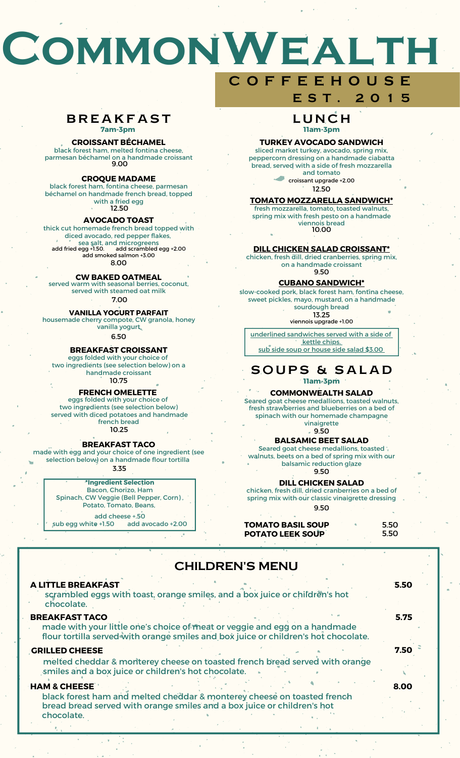# **CommonWealth**

#### **BREAKFAST 7am-3pm**

#### **CROISSANT BÉCHAMEL**

#### black forest ham, melted fontina cheese,

parmesan béchamel on a handmade croissant 9.00

#### **CROQUE MADAME**

black forest ham, fontina cheese, parmesan béchamel on handmade french bread, topped with a fried egg 12.50

#### **AVOCADO TOAST**

thick cut homemade french bread topped with diced avocado, red pepper flakes, sea salt, and microgreens add fried egg +1.50. add scrambled egg +2.00 add smoked salmon +3.00<br>add smoked salmon +3.00

8.00

#### **CW BAKED OATMEAL**

served warm with seasonal berries, coconut, served with steamed oat milk 7.00

#### **VANILLA YOGURT PARFAIT**

housemade cherry compote, CW granola, honey vanilla yogurt

6.50

#### **BREAKFAST CROISSANT**

eggs folded with your choice of two ingredients (see selection below) on a handmade croissant 10.75

#### **FRENCH OMELETTE**

eggs folded with your choice of two ingredients (see selection below) served with diced potatoes and handmade french bread 10.25

#### **BREAKFAST TACO**

made with egg and your choice of one ingredient (see selection below) on a handmade flour tortilla

3.35

**\*Ingredient Selection** Bacon, Chorizo, Ham Spinach, CW Veggie (Bell Pepper, Corn) , Potato, Tomato, Beans, add cheese +.50 sub egg white +1.50 add avocado +2.00

# **C O F F E E H O U S E E S T . 2 0 1 5**

## L U N C H **11am-3pm**

#### **TURKEY AVOCADO SANDWICH**

sliced market turkey, avocado, spring mix, peppercorn dressing on a handmade ciabatta bread, served with a side of fresh mozzarella and tomato

> 12.50 croissant upgrade +2.00

#### **TOMATO MOZZARELLA SANDWICH\***

10.00 viennois bread fresh mozzarella, tomato, toasted walnuts, spring mix with fresh pesto on a handmade

#### **DILL CHICKEN SALAD CROISSANT\***

9.50 chicken, fresh dill, dried cranberries, spring mix, on a handmade croissant

#### **CUBANO SANDWICH\***

slow-cooked pork, black forest ham, fontina cheese, sweet pickles, mayo, mustard, on a handmade sourdough bread

13.25 viennois upgrade +1.00

underlined sandwiches served with a side of kettle chips. sub side soup or house side salad \$3.00

SOUPS & SALAD **11am-3pm**

#### **COMMONWEALTH SALAD**

Seared goat cheese medallions, toasted walnuts, fresh strawberries and blueberries on a bed of spinach with our homemade champagne vinaigrette

9.50

### **BALSAMIC BEET SALAD**

Seared goat cheese medallions, toasted walnuts, beets on a bed of spring mix with our balsamic reduction glaze 9.50

#### **DILL CHICKEN SALAD**

chicken, fresh dill, dried cranberries on a bed of spring mix with our classic vinaigrette dressing 9.50

| <b>TOMATO BASIL SOUP</b> |  | 5.50 |
|--------------------------|--|------|
| <b>POTATO LEEK SOUP</b>  |  | 5.50 |

# CHILDREN'S MENU

| <b>A LITTLE BREAKFAST</b><br>scrambled eggs with toast, orange smiles, and a box juice or children's hot<br>chocolate.                                                                     | 5.50 |
|--------------------------------------------------------------------------------------------------------------------------------------------------------------------------------------------|------|
| <b>BREAKFAST TACO</b><br>made with your little one's choice of meat or veggie and egg on a handmade<br>flour tortilla served with orange smiles and box juice or children's hot chocolate. | 5.75 |
| <b>GRILLED CHEESE</b><br>melted cheddar & monterey cheese on toasted french bread served with orange<br>smiles and a box juice or children's hot chocolate.                                | 7.50 |
| <b>HAM &amp; CHEESE</b><br>black forest ham and melted cheddar & monterey cheese on toasted french<br>bread bread served with orange smiles and a box juice or children's hot              | 8.00 |

chocolate.